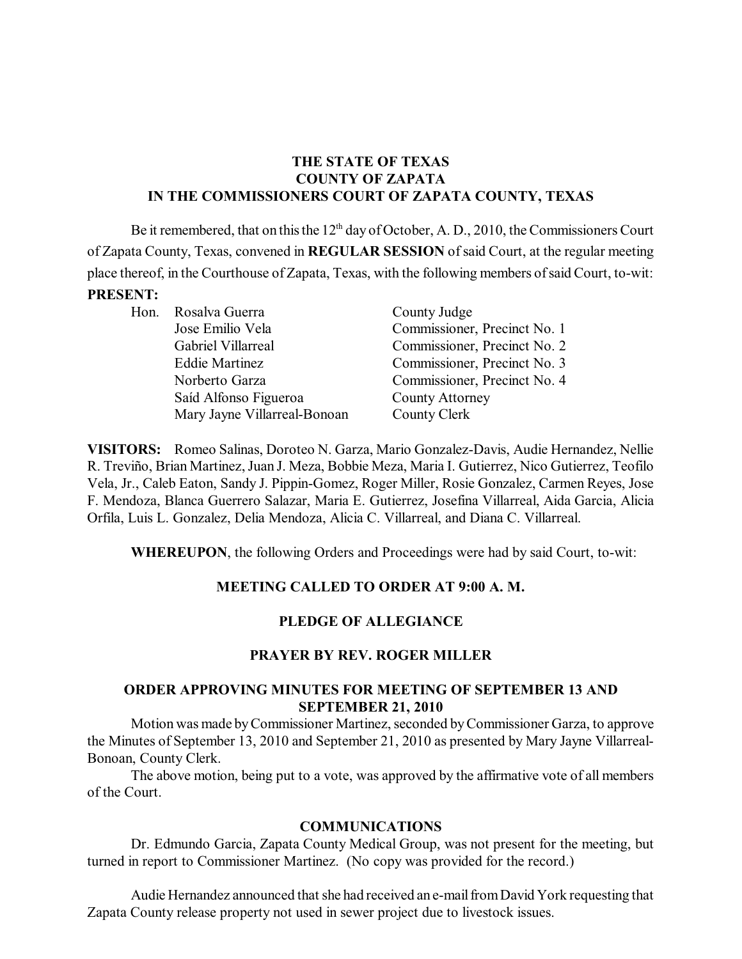### **THE STATE OF TEXAS COUNTY OF ZAPATA IN THE COMMISSIONERS COURT OF ZAPATA COUNTY, TEXAS**

Be it remembered, that on this the  $12<sup>th</sup>$  day of October, A. D., 2010, the Commissioners Court of Zapata County, Texas, convened in **REGULAR SESSION** ofsaid Court, at the regular meeting place thereof, in the Courthouse of Zapata, Texas, with the following members ofsaid Court, to-wit: **PRESENT:**

Hon. Rosalva Guerra County Judge

Gabriel Villarreal Commissioner, Precinct No. 2 Eddie Martinez Commissioner, Precinct No. 3 Norberto Garza Commissioner, Precinct No. 4 Saíd Alfonso Figueroa County Attorney Mary Jayne Villarreal-Bonoan County Clerk

Jose Emilio Vela Commissioner, Precinct No. 1

**VISITORS:** Romeo Salinas, Doroteo N. Garza, Mario Gonzalez-Davis, Audie Hernandez, Nellie R. Treviño, Brian Martinez, Juan J. Meza, Bobbie Meza, Maria I. Gutierrez, Nico Gutierrez, Teofilo Vela, Jr., Caleb Eaton, Sandy J. Pippin-Gomez, Roger Miller, Rosie Gonzalez, Carmen Reyes, Jose F. Mendoza, Blanca Guerrero Salazar, Maria E. Gutierrez, Josefina Villarreal, Aida Garcia, Alicia Orfila, Luis L. Gonzalez, Delia Mendoza, Alicia C. Villarreal, and Diana C. Villarreal.

**WHEREUPON**, the following Orders and Proceedings were had by said Court, to-wit:

# **MEETING CALLED TO ORDER AT 9:00 A. M.**

# **PLEDGE OF ALLEGIANCE**

### **PRAYER BY REV. ROGER MILLER**

### **ORDER APPROVING MINUTES FOR MEETING OF SEPTEMBER 13 AND SEPTEMBER 21, 2010**

Motion was made byCommissioner Martinez, seconded byCommissioner Garza, to approve the Minutes of September 13, 2010 and September 21, 2010 as presented by Mary Jayne Villarreal-Bonoan, County Clerk.

The above motion, being put to a vote, was approved by the affirmative vote of all members of the Court.

#### **COMMUNICATIONS**

Dr. Edmundo Garcia, Zapata County Medical Group, was not present for the meeting, but turned in report to Commissioner Martinez. (No copy was provided for the record.)

Audie Hernandez announced that she had received an e-mail from David York requesting that Zapata County release property not used in sewer project due to livestock issues.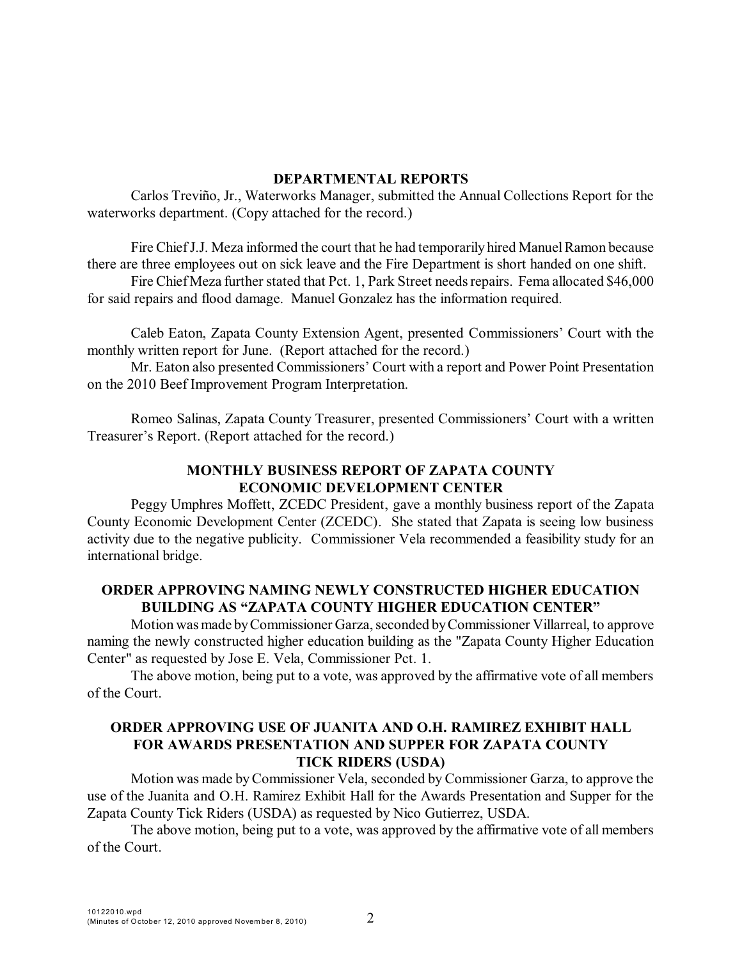#### **DEPARTMENTAL REPORTS**

Carlos Treviño, Jr., Waterworks Manager, submitted the Annual Collections Report for the waterworks department. (Copy attached for the record.)

Fire Chief J.J. Meza informed the court that he had temporarily hired Manuel Ramon because there are three employees out on sick leave and the Fire Department is short handed on one shift.

Fire Chief Meza further stated that Pct. 1, Park Street needs repairs. Fema allocated \$46,000 for said repairs and flood damage. Manuel Gonzalez has the information required.

Caleb Eaton, Zapata County Extension Agent, presented Commissioners' Court with the monthly written report for June. (Report attached for the record.)

Mr. Eaton also presented Commissioners' Court with a report and Power Point Presentation on the 2010 Beef Improvement Program Interpretation.

Romeo Salinas, Zapata County Treasurer, presented Commissioners' Court with a written Treasurer's Report. (Report attached for the record.)

## **MONTHLY BUSINESS REPORT OF ZAPATA COUNTY ECONOMIC DEVELOPMENT CENTER**

Peggy Umphres Moffett, ZCEDC President, gave a monthly business report of the Zapata County Economic Development Center (ZCEDC). She stated that Zapata is seeing low business activity due to the negative publicity. Commissioner Vela recommended a feasibility study for an international bridge.

### **ORDER APPROVING NAMING NEWLY CONSTRUCTED HIGHER EDUCATION BUILDING AS "ZAPATA COUNTY HIGHER EDUCATION CENTER"**

Motion wasmade byCommissioner Garza, seconded byCommissioner Villarreal, to approve naming the newly constructed higher education building as the "Zapata County Higher Education Center" as requested by Jose E. Vela, Commissioner Pct. 1.

The above motion, being put to a vote, was approved by the affirmative vote of all members of the Court.

### **ORDER APPROVING USE OF JUANITA AND O.H. RAMIREZ EXHIBIT HALL FOR AWARDS PRESENTATION AND SUPPER FOR ZAPATA COUNTY TICK RIDERS (USDA)**

Motion was made byCommissioner Vela, seconded by Commissioner Garza, to approve the use of the Juanita and O.H. Ramirez Exhibit Hall for the Awards Presentation and Supper for the Zapata County Tick Riders (USDA) as requested by Nico Gutierrez, USDA.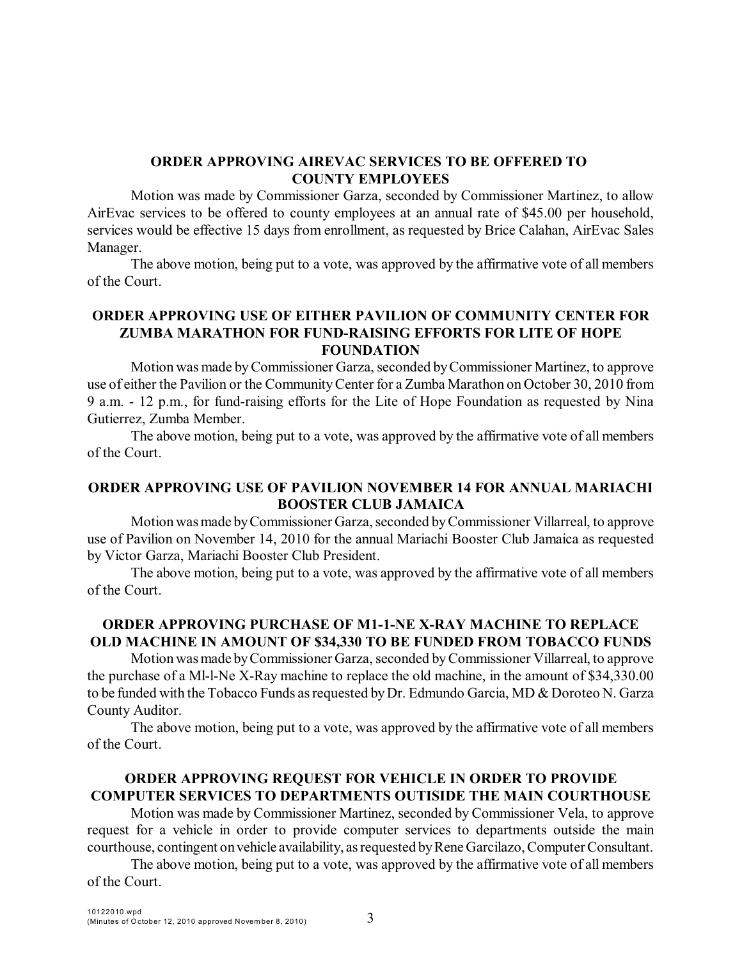### **ORDER APPROVING AIREVAC SERVICES TO BE OFFERED TO COUNTY EMPLOYEES**

Motion was made by Commissioner Garza, seconded by Commissioner Martinez, to allow AirEvac services to be offered to county employees at an annual rate of \$45.00 per household, services would be effective 15 days from enrollment, as requested by Brice Calahan, AirEvac Sales Manager.

The above motion, being put to a vote, was approved by the affirmative vote of all members of the Court.

### **ORDER APPROVING USE OF EITHER PAVILION OF COMMUNITY CENTER FOR ZUMBA MARATHON FOR FUND-RAISING EFFORTS FOR LITE OF HOPE FOUNDATION**

Motion was made byCommissioner Garza, seconded byCommissioner Martinez, to approve use of either the Pavilion or the CommunityCenter for a Zumba Marathon on October 30, 2010 from 9 a.m. - 12 p.m., for fund-raising efforts for the Lite of Hope Foundation as requested by Nina Gutierrez, Zumba Member.

The above motion, being put to a vote, was approved by the affirmative vote of all members of the Court.

### **ORDER APPROVING USE OF PAVILION NOVEMBER 14 FOR ANNUAL MARIACHI BOOSTER CLUB JAMAICA**

Motionwasmade byCommissioner Garza, seconded byCommissioner Villarreal, to approve use of Pavilion on November 14, 2010 for the annual Mariachi Booster Club Jamaica as requested by Victor Garza, Mariachi Booster Club President.

The above motion, being put to a vote, was approved by the affirmative vote of all members of the Court.

# **ORDER APPROVING PURCHASE OF M1-1-NE X-RAY MACHINE TO REPLACE OLD MACHINE IN AMOUNT OF \$34,330 TO BE FUNDED FROM TOBACCO FUNDS**

Motionwasmade byCommissioner Garza, seconded byCommissioner Villarreal, to approve the purchase of a Ml-l-Ne X-Ray machine to replace the old machine, in the amount of \$34,330.00 to be funded with the Tobacco Funds as requested by Dr. Edmundo Garcia, MD & Doroteo N. Garza County Auditor.

The above motion, being put to a vote, was approved by the affirmative vote of all members of the Court.

# **ORDER APPROVING REQUEST FOR VEHICLE IN ORDER TO PROVIDE COMPUTER SERVICES TO DEPARTMENTS OUTISIDE THE MAIN COURTHOUSE**

Motion was made by Commissioner Martinez, seconded by Commissioner Vela, to approve request for a vehicle in order to provide computer services to departments outside the main courthouse, contingent on vehicle availability, as requested by Rene Garcilazo, Computer Consultant.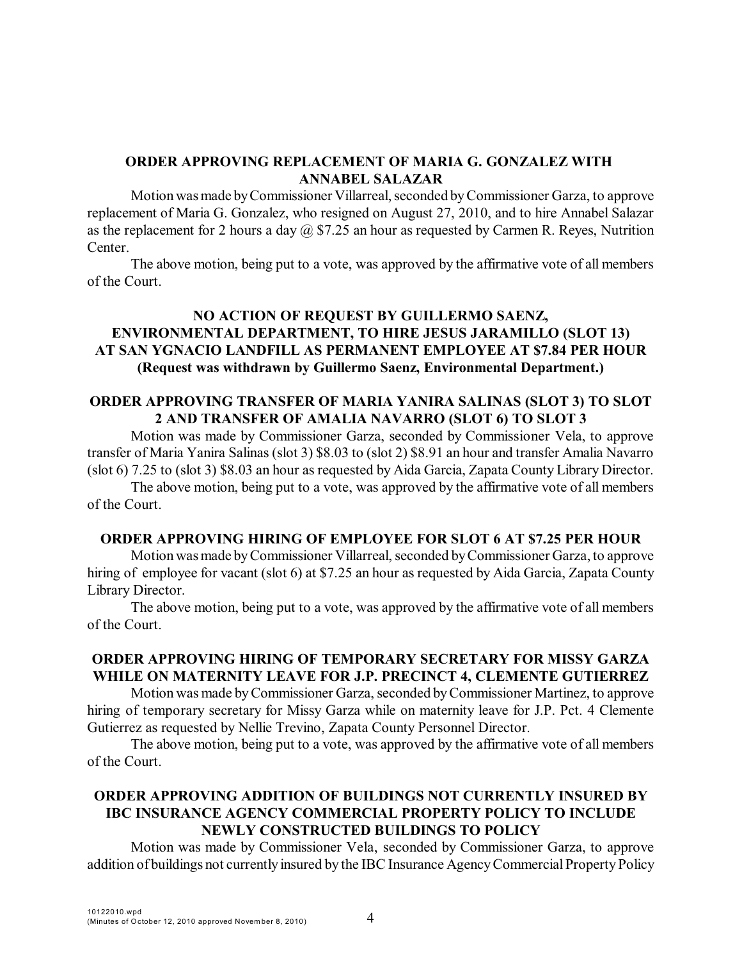### **ORDER APPROVING REPLACEMENT OF MARIA G. GONZALEZ WITH ANNABEL SALAZAR**

Motion was made by Commissioner Villarreal, seconded by Commissioner Garza, to approve replacement of Maria G. Gonzalez, who resigned on August 27, 2010, and to hire Annabel Salazar as the replacement for 2 hours a day  $\omega$  \$7.25 an hour as requested by Carmen R. Reyes, Nutrition Center.

The above motion, being put to a vote, was approved by the affirmative vote of all members of the Court.

## **NO ACTION OF REQUEST BY GUILLERMO SAENZ, ENVIRONMENTAL DEPARTMENT, TO HIRE JESUS JARAMILLO (SLOT 13) AT SAN YGNACIO LANDFILL AS PERMANENT EMPLOYEE AT \$7.84 PER HOUR (Request was withdrawn by Guillermo Saenz, Environmental Department.)**

#### **ORDER APPROVING TRANSFER OF MARIA YANIRA SALINAS (SLOT 3) TO SLOT 2 AND TRANSFER OF AMALIA NAVARRO (SLOT 6) TO SLOT 3**

Motion was made by Commissioner Garza, seconded by Commissioner Vela, to approve transfer of Maria Yanira Salinas (slot 3) \$8.03 to (slot 2) \$8.91 an hour and transfer Amalia Navarro (slot 6) 7.25 to (slot 3) \$8.03 an hour as requested by Aida Garcia, Zapata County Library Director.

The above motion, being put to a vote, was approved by the affirmative vote of all members of the Court.

#### **ORDER APPROVING HIRING OF EMPLOYEE FOR SLOT 6 AT \$7.25 PER HOUR**

Motion was made by Commissioner Villarreal, seconded by Commissioner Garza, to approve hiring of employee for vacant (slot 6) at \$7.25 an hour as requested by Aida Garcia, Zapata County Library Director.

The above motion, being put to a vote, was approved by the affirmative vote of all members of the Court.

## **ORDER APPROVING HIRING OF TEMPORARY SECRETARY FOR MISSY GARZA WHILE ON MATERNITY LEAVE FOR J.P. PRECINCT 4, CLEMENTE GUTIERREZ**

Motion was made byCommissioner Garza, seconded byCommissioner Martinez, to approve hiring of temporary secretary for Missy Garza while on maternity leave for J.P. Pct. 4 Clemente Gutierrez as requested by Nellie Trevino, Zapata County Personnel Director.

The above motion, being put to a vote, was approved by the affirmative vote of all members of the Court.

# **ORDER APPROVING ADDITION OF BUILDINGS NOT CURRENTLY INSURED BY IBC INSURANCE AGENCY COMMERCIAL PROPERTY POLICY TO INCLUDE NEWLY CONSTRUCTED BUILDINGS TO POLICY**

Motion was made by Commissioner Vela, seconded by Commissioner Garza, to approve addition of buildings not currently insured by the IBC Insurance Agency Commercial Property Policy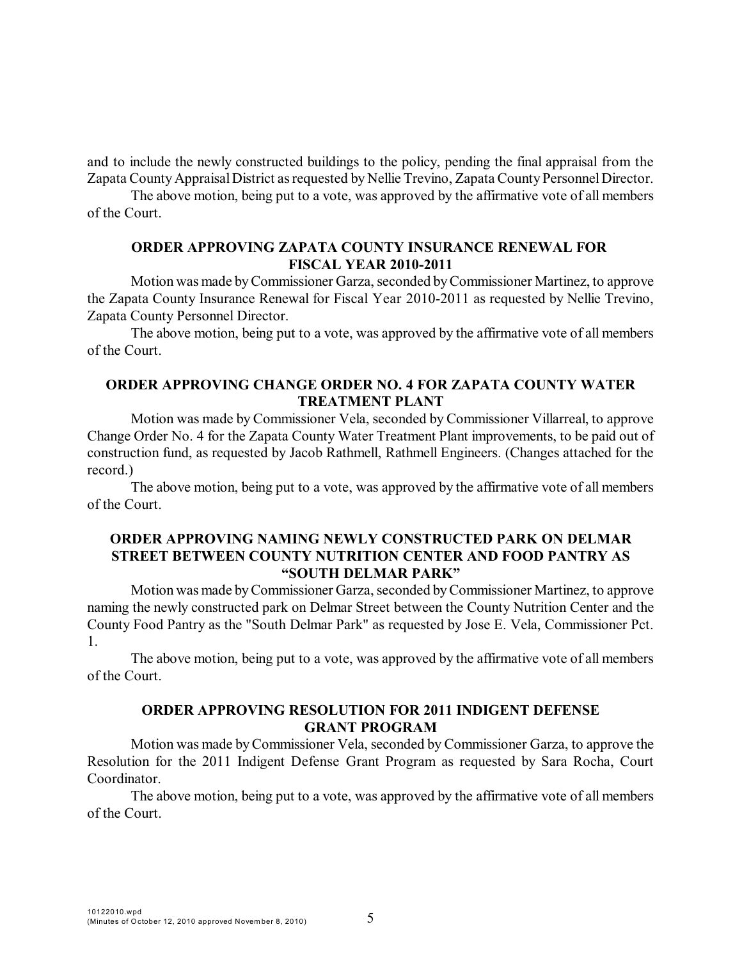and to include the newly constructed buildings to the policy, pending the final appraisal from the Zapata County Appraisal District as requested by Nellie Trevino, Zapata County Personnel Director.

The above motion, being put to a vote, was approved by the affirmative vote of all members of the Court.

### **ORDER APPROVING ZAPATA COUNTY INSURANCE RENEWAL FOR FISCAL YEAR 2010-2011**

Motion was made byCommissioner Garza, seconded byCommissioner Martinez, to approve the Zapata County Insurance Renewal for Fiscal Year 2010-2011 as requested by Nellie Trevino, Zapata County Personnel Director.

The above motion, being put to a vote, was approved by the affirmative vote of all members of the Court.

### **ORDER APPROVING CHANGE ORDER NO. 4 FOR ZAPATA COUNTY WATER TREATMENT PLANT**

Motion was made by Commissioner Vela, seconded by Commissioner Villarreal, to approve Change Order No. 4 for the Zapata County Water Treatment Plant improvements, to be paid out of construction fund, as requested by Jacob Rathmell, Rathmell Engineers. (Changes attached for the record.)

The above motion, being put to a vote, was approved by the affirmative vote of all members of the Court.

#### **ORDER APPROVING NAMING NEWLY CONSTRUCTED PARK ON DELMAR STREET BETWEEN COUNTY NUTRITION CENTER AND FOOD PANTRY AS "SOUTH DELMAR PARK"**

Motion was made byCommissioner Garza, seconded byCommissioner Martinez, to approve naming the newly constructed park on Delmar Street between the County Nutrition Center and the County Food Pantry as the "South Delmar Park" as requested by Jose E. Vela, Commissioner Pct. 1.

The above motion, being put to a vote, was approved by the affirmative vote of all members of the Court.

### **ORDER APPROVING RESOLUTION FOR 2011 INDIGENT DEFENSE GRANT PROGRAM**

Motion was made byCommissioner Vela, seconded by Commissioner Garza, to approve the Resolution for the 2011 Indigent Defense Grant Program as requested by Sara Rocha, Court Coordinator.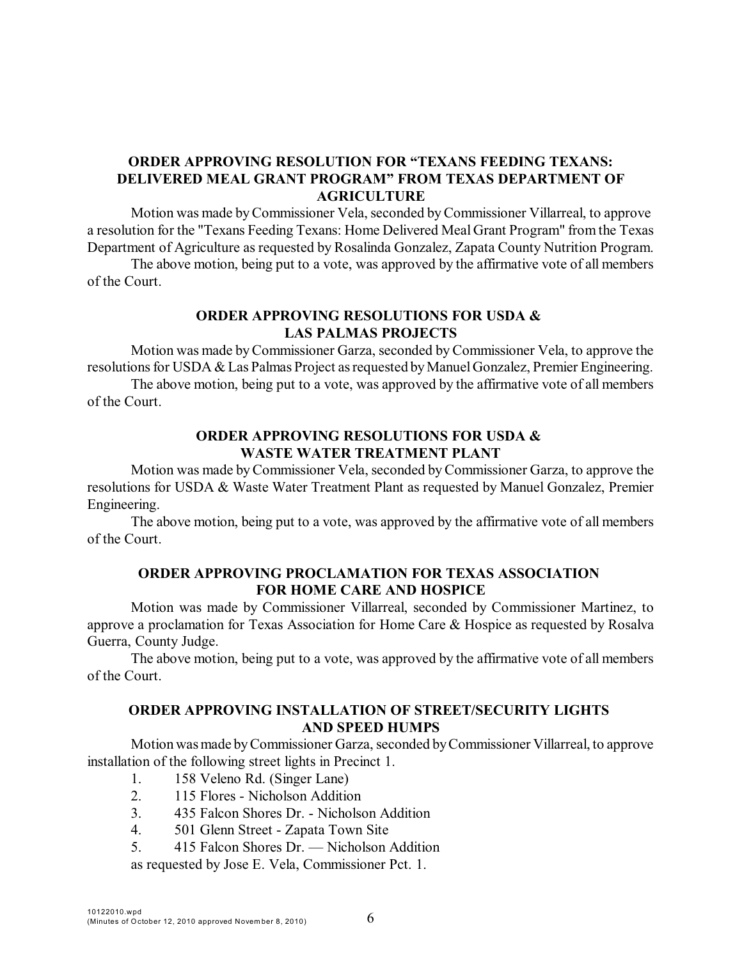### **ORDER APPROVING RESOLUTION FOR "TEXANS FEEDING TEXANS: DELIVERED MEAL GRANT PROGRAM" FROM TEXAS DEPARTMENT OF AGRICULTURE**

Motion was made byCommissioner Vela, seconded byCommissioner Villarreal, to approve a resolution for the "Texans Feeding Texans: Home Delivered Meal Grant Program" from the Texas Department of Agriculture as requested by Rosalinda Gonzalez, Zapata County Nutrition Program.

The above motion, being put to a vote, was approved by the affirmative vote of all members of the Court.

### **ORDER APPROVING RESOLUTIONS FOR USDA & LAS PALMAS PROJECTS**

Motion was made byCommissioner Garza, seconded by Commissioner Vela, to approve the resolutions for USDA & Las Palmas Project as requested by Manuel Gonzalez, Premier Engineering.

The above motion, being put to a vote, was approved by the affirmative vote of all members of the Court.

### **ORDER APPROVING RESOLUTIONS FOR USDA & WASTE WATER TREATMENT PLANT**

Motion was made byCommissioner Vela, seconded byCommissioner Garza, to approve the resolutions for USDA & Waste Water Treatment Plant as requested by Manuel Gonzalez, Premier Engineering.

The above motion, being put to a vote, was approved by the affirmative vote of all members of the Court.

### **ORDER APPROVING PROCLAMATION FOR TEXAS ASSOCIATION FOR HOME CARE AND HOSPICE**

Motion was made by Commissioner Villarreal, seconded by Commissioner Martinez, to approve a proclamation for Texas Association for Home Care & Hospice as requested by Rosalva Guerra, County Judge.

The above motion, being put to a vote, was approved by the affirmative vote of all members of the Court.

### **ORDER APPROVING INSTALLATION OF STREET/SECURITY LIGHTS AND SPEED HUMPS**

Motionwasmade byCommissioner Garza, seconded byCommissioner Villarreal, to approve installation of the following street lights in Precinct 1.

- 1. 158 Veleno Rd. (Singer Lane)
- 2. 115 Flores Nicholson Addition
- 3. 435 Falcon Shores Dr. Nicholson Addition
- 4. 501 Glenn Street Zapata Town Site
- 5. 415 Falcon Shores Dr. Nicholson Addition

as requested by Jose E. Vela, Commissioner Pct. 1.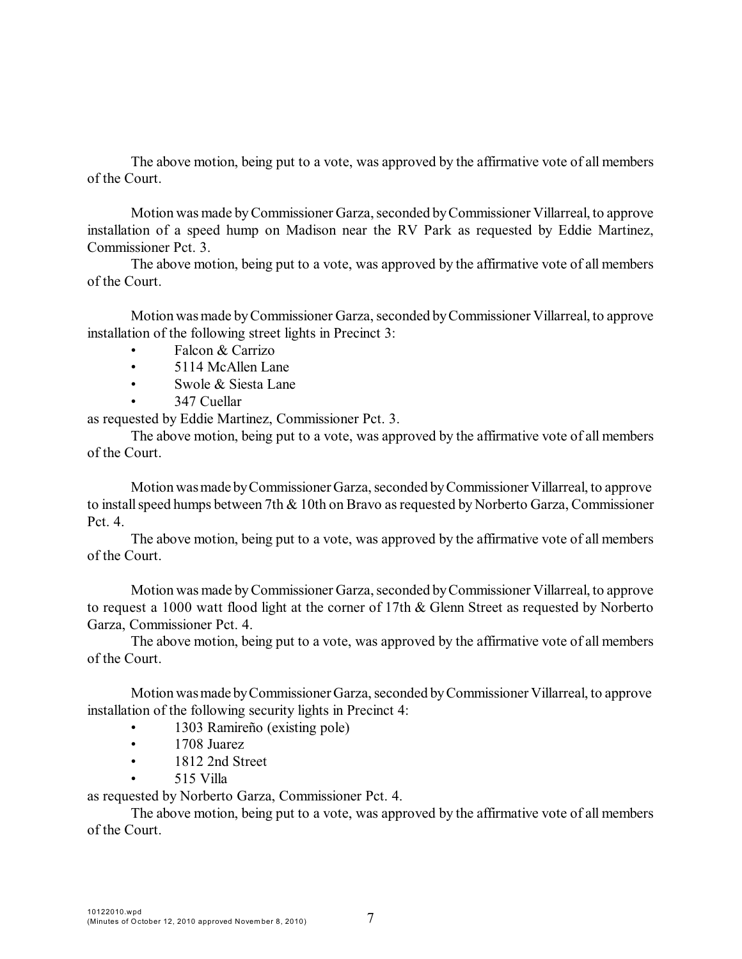The above motion, being put to a vote, was approved by the affirmative vote of all members of the Court.

Motion was made byCommissioner Garza, seconded byCommissioner Villarreal, to approve installation of a speed hump on Madison near the RV Park as requested by Eddie Martinez, Commissioner Pct. 3.

The above motion, being put to a vote, was approved by the affirmative vote of all members of the Court.

Motionwasmade byCommissioner Garza, seconded byCommissioner Villarreal, to approve installation of the following street lights in Precinct 3:

- Falcon & Carrizo
- 5114 McAllen Lane
- Swole & Siesta Lane
- 347 Cuellar

as requested by Eddie Martinez, Commissioner Pct. 3.

The above motion, being put to a vote, was approved by the affirmative vote of all members of the Court.

Motionwasmade byCommissioner Garza, seconded byCommissioner Villarreal, to approve to install speed humps between 7th & 10th on Bravo as requested by Norberto Garza, Commissioner Pct. 4.

The above motion, being put to a vote, was approved by the affirmative vote of all members of the Court.

Motion was made byCommissioner Garza, seconded byCommissioner Villarreal, to approve to request a 1000 watt flood light at the corner of 17th & Glenn Street as requested by Norberto Garza, Commissioner Pct. 4.

The above motion, being put to a vote, was approved by the affirmative vote of all members of the Court.

Motionwasmade byCommissioner Garza, seconded byCommissioner Villarreal, to approve installation of the following security lights in Precinct 4:

- 1303 Ramireño (existing pole)
- 1708 Juarez
- 1812 2nd Street
	- 515 Villa

as requested by Norberto Garza, Commissioner Pct. 4.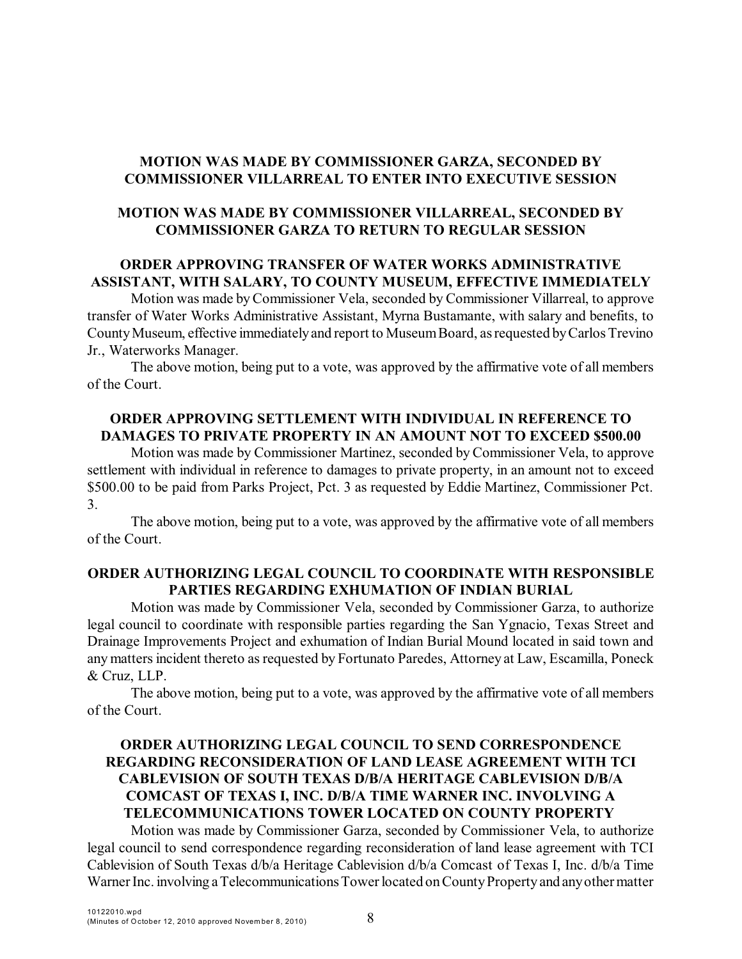## **MOTION WAS MADE BY COMMISSIONER GARZA, SECONDED BY COMMISSIONER VILLARREAL TO ENTER INTO EXECUTIVE SESSION**

# **MOTION WAS MADE BY COMMISSIONER VILLARREAL, SECONDED BY COMMISSIONER GARZA TO RETURN TO REGULAR SESSION**

# **ORDER APPROVING TRANSFER OF WATER WORKS ADMINISTRATIVE ASSISTANT, WITH SALARY, TO COUNTY MUSEUM, EFFECTIVE IMMEDIATELY**

Motion was made byCommissioner Vela, seconded by Commissioner Villarreal, to approve transfer of Water Works Administrative Assistant, Myrna Bustamante, with salary and benefits, to CountyMuseum, effective immediatelyand report to MuseumBoard, asrequested byCarlosTrevino Jr., Waterworks Manager.

The above motion, being put to a vote, was approved by the affirmative vote of all members of the Court.

### **ORDER APPROVING SETTLEMENT WITH INDIVIDUAL IN REFERENCE TO DAMAGES TO PRIVATE PROPERTY IN AN AMOUNT NOT TO EXCEED \$500.00**

Motion was made by Commissioner Martinez, seconded by Commissioner Vela, to approve settlement with individual in reference to damages to private property, in an amount not to exceed \$500.00 to be paid from Parks Project, Pct. 3 as requested by Eddie Martinez, Commissioner Pct. 3.

The above motion, being put to a vote, was approved by the affirmative vote of all members of the Court.

### **ORDER AUTHORIZING LEGAL COUNCIL TO COORDINATE WITH RESPONSIBLE PARTIES REGARDING EXHUMATION OF INDIAN BURIAL**

Motion was made by Commissioner Vela, seconded by Commissioner Garza, to authorize legal council to coordinate with responsible parties regarding the San Ygnacio, Texas Street and Drainage Improvements Project and exhumation of Indian Burial Mound located in said town and any matters incident thereto as requested by Fortunato Paredes, Attorney at Law, Escamilla, Poneck & Cruz, LLP.

The above motion, being put to a vote, was approved by the affirmative vote of all members of the Court.

# **ORDER AUTHORIZING LEGAL COUNCIL TO SEND CORRESPONDENCE REGARDING RECONSIDERATION OF LAND LEASE AGREEMENT WITH TCI CABLEVISION OF SOUTH TEXAS D/B/A HERITAGE CABLEVISION D/B/A COMCAST OF TEXAS I, INC. D/B/A TIME WARNER INC. INVOLVING A TELECOMMUNICATIONS TOWER LOCATED ON COUNTY PROPERTY**

Motion was made by Commissioner Garza, seconded by Commissioner Vela, to authorize legal council to send correspondence regarding reconsideration of land lease agreement with TCI Cablevision of South Texas d/b/a Heritage Cablevision d/b/a Comcast of Texas I, Inc. d/b/a Time Warner Inc. involving a Telecommunications Tower located on County Property and any other matter